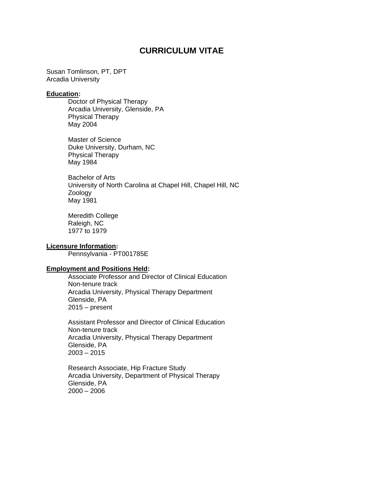# **CURRICULUM VITAE**

Susan Tomlinson, PT, DPT Arcadia University

#### **Education:**

Doctor of Physical Therapy Arcadia University, Glenside, PA Physical Therapy May 2004

Master of Science Duke University, Durham, NC Physical Therapy May 1984

Bachelor of Arts University of North Carolina at Chapel Hill, Chapel Hill, NC Zoology May 1981

Meredith College Raleigh, NC 1977 to 1979

#### **Licensure Information:**

Pennsylvania - PT001785E

#### **Employment and Positions Held:**

Associate Professor and Director of Clinical Education Non-tenure track Arcadia University, Physical Therapy Department Glenside, PA 2015 – present

Assistant Professor and Director of Clinical Education Non-tenure track Arcadia University, Physical Therapy Department Glenside, PA  $2003 - 2015$ 

Research Associate, Hip Fracture Study Arcadia University, Department of Physical Therapy Glenside, PA 2000 – 2006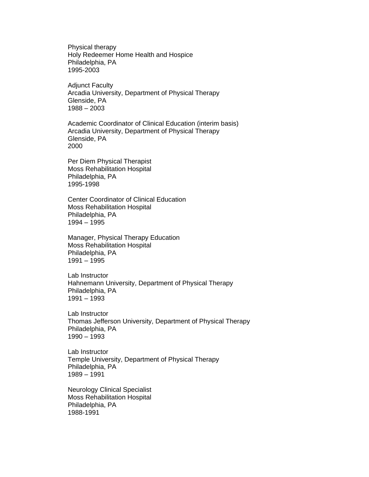Physical therapy Holy Redeemer Home Health and Hospice Philadelphia, PA 1995-2003

Adjunct Faculty Arcadia University, Department of Physical Therapy Glenside, PA 1988 – 2003

Academic Coordinator of Clinical Education (interim basis) Arcadia University, Department of Physical Therapy Glenside, PA 2000

Per Diem Physical Therapist Moss Rehabilitation Hospital Philadelphia, PA 1995-1998

Center Coordinator of Clinical Education Moss Rehabilitation Hospital Philadelphia, PA 1994 – 1995

Manager, Physical Therapy Education Moss Rehabilitation Hospital Philadelphia, PA 1991 – 1995

Lab Instructor Hahnemann University, Department of Physical Therapy Philadelphia, PA 1991 – 1993

Lab Instructor Thomas Jefferson University, Department of Physical Therapy Philadelphia, PA 1990 – 1993

Lab Instructor Temple University, Department of Physical Therapy Philadelphia, PA 1989 – 1991

Neurology Clinical Specialist Moss Rehabilitation Hospital Philadelphia, PA 1988-1991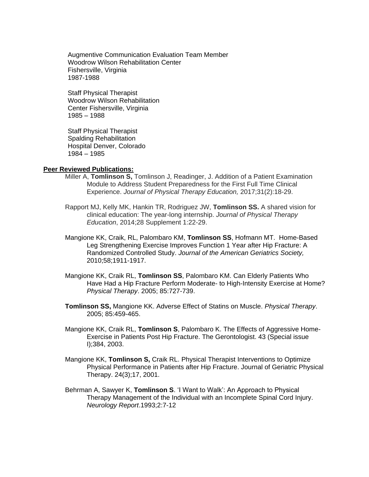Augmentive Communication Evaluation Team Member Woodrow Wilson Rehabilitation Center Fishersville, Virginia 1987-1988

Staff Physical Therapist Woodrow Wilson Rehabilitation Center Fishersville, Virginia 1985 – 1988

Staff Physical Therapist Spalding Rehabilitation Hospital Denver, Colorado 1984 – 1985

#### **Peer Reviewed Publications:**

- Miller A, **Tomlinson S,** Tomlinson J, Readinger, J. Addition of a Patient Examination Module to Address Student Preparedness for the First Full Time Clinical Experience. *Journal of Physical Therapy Education,* 2017;31(2):18-29.
- Rapport MJ, Kelly MK, Hankin TR, Rodriguez JW, **Tomlinson SS.** A shared vision for clinical education: The year-long internship. *Journal of Physical Therapy Education*, 2014;28 Supplement 1:22-29.
- Mangione KK, Craik, RL, Palombaro KM, **Tomlinson SS**, Hofmann MT. Home-Based Leg Strengthening Exercise Improves Function 1 Year after Hip Fracture: A Randomized Controlled Study. *Journal of the American Geriatrics Society,*  2010;58;1911-1917.
- Mangione KK, Craik RL, **Tomlinson SS**, Palombaro KM. Can Elderly Patients Who Have Had a Hip Fracture Perform Moderate- to High-Intensity Exercise at Home? *Physical Therapy*. 2005; 85:727-739.
- **Tomlinson SS,** Mangione KK. Adverse Effect of Statins on Muscle. *Physical Therapy*. 2005; 85:459-465.
- Mangione KK, Craik RL, **Tomlinson S**, Palombaro K. The Effects of Aggressive Home-Exercise in Patients Post Hip Fracture. The Gerontologist. 43 (Special issue I);384, 2003.
- Mangione KK, **Tomlinson S,** Craik RL. Physical Therapist Interventions to Optimize Physical Performance in Patients after Hip Fracture. Journal of Geriatric Physical Therapy. 24(3);17, 2001.
- Behrman A, Sawyer K, **Tomlinson S**. 'I Want to Walk': An Approach to Physical Therapy Management of the Individual with an Incomplete Spinal Cord Injury. *Neurology Report*.1993;2:7-12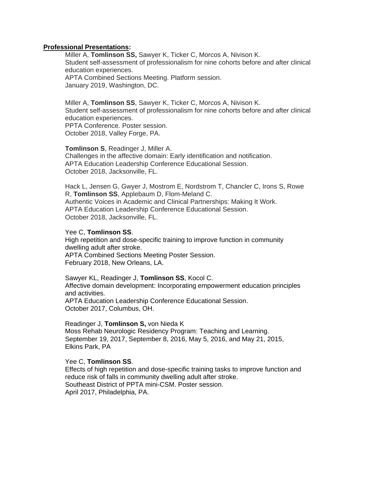# **Professional Presentations:**

Miller A, **Tomlinson SS,** Sawyer K, Ticker C, Morcos A, Nivison K. Student self-assessment of professionalism for nine cohorts before and after clinical education experiences. APTA Combined Sections Meeting. Platform session.

January 2019, Washington, DC.

Miller A, **Tomlinson SS**, Sawyer K, Ticker C, Morcos A, Nivison K. Student self-assessment of professionalism for nine cohorts before and after clinical education experiences. PPTA Conference. Poster session.

October 2018, Valley Forge, PA.

**Tomlinson S**, Readinger J, Miller A. Challenges in the affective domain: Early identification and notification. APTA Education Leadership Conference Educational Session. October 2018, Jacksonville, FL.

Hack L, Jensen G, Gwyer J, Mostrom E, Nordstrom T, Chancler C, Irons S, Rowe R, **Tomlinson SS**, Applebaum D, Flom-Meland C. Authentic Voices in Academic and Clinical Partnerships: Making It Work. APTA Education Leadership Conference Educational Session. October 2018, Jacksonville, FL.

### Yee C, **Tomlinson SS**.

High repetition and dose-specific training to improve function in community dwelling adult after stroke. APTA Combined Sections Meeting Poster Session. February 2018, New Orleans, LA.

# Sawyer KL, Readinger J, **Tomlinson SS**, Kocol C.

Affective domain development: Incorporating empowerment education principles and activities.

APTA Education Leadership Conference Educational Session. October 2017, Columbus, OH.

### Readinger J, **Tomlinson S,** von Nieda K

Moss Rehab Neurologic Residency Program: Teaching and Learning. September 19, 2017, September 8, 2016, May 5, 2016, and May 21, 2015, Elkins Park, PA

### Yee C, **Tomlinson SS**.

Effects of high repetition and dose-specific training tasks to improve function and reduce risk of falls in community dwelling adult after stroke. Southeast District of PPTA mini-CSM. Poster session. April 2017, Philadelphia, PA.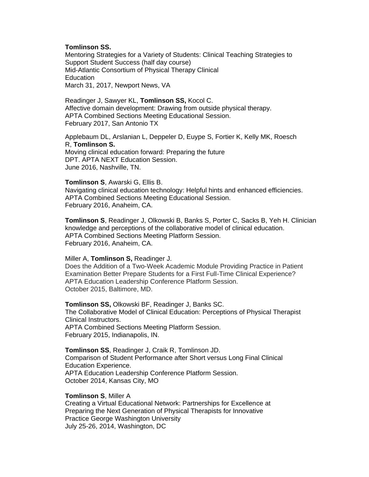# **Tomlinson SS.**

Mentoring Strategies for a Variety of Students: Clinical Teaching Strategies to Support Student Success (half day course) Mid-Atlantic Consortium of Physical Therapy Clinical Education March 31, 2017, Newport News, VA

Readinger J, Sawyer KL, **Tomlinson SS,** Kocol C. Affective domain development: Drawing from outside physical therapy. APTA Combined Sections Meeting Educational Session. February 2017, San Antonio TX

Applebaum DL, Arslanian L, Deppeler D, Euype S, Fortier K, Kelly MK, Roesch R, **Tomlinson S.** Moving clinical education forward: Preparing the future

DPT. APTA NEXT Education Session. June 2016, Nashville, TN.

#### **Tomlinson S**, Awarski G, Ellis B.

Navigating clinical education technology: Helpful hints and enhanced efficiencies. APTA Combined Sections Meeting Educational Session. February 2016, Anaheim, CA.

**Tomlinson S**, Readinger J, Olkowski B, Banks S, Porter C, Sacks B, Yeh H. Clinician knowledge and perceptions of the collaborative model of clinical education. APTA Combined Sections Meeting Platform Session. February 2016, Anaheim, CA.

### Miller A, **Tomlinson S,** Readinger J.

Does the Addition of a Two-Week Academic Module Providing Practice in Patient Examination Better Prepare Students for a First Full-Time Clinical Experience? APTA Education Leadership Conference Platform Session. October 2015, Baltimore, MD.

**Tomlinson SS,** Olkowski BF, Readinger J, Banks SC. The Collaborative Model of Clinical Education: Perceptions of Physical Therapist Clinical Instructors. APTA Combined Sections Meeting Platform Session. February 2015, Indianapolis, IN.

**Tomlinson SS**, Readinger J, Craik R, Tomlinson JD. Comparison of Student Performance after Short versus Long Final Clinical Education Experience. APTA Education Leadership Conference Platform Session. October 2014, Kansas City, MO

### **Tomlinson S**, Miller A

Creating a Virtual Educational Network: Partnerships for Excellence at Preparing the Next Generation of Physical Therapists for Innovative Practice George Washington University July 25-26, 2014, Washington, DC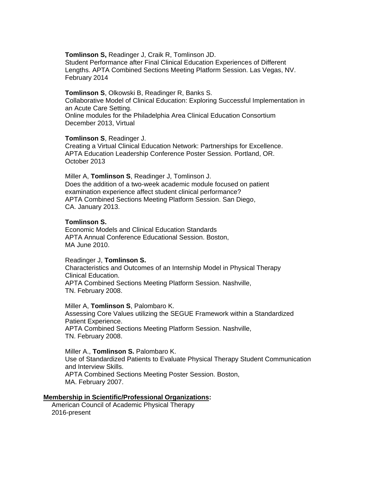#### **Tomlinson S,** Readinger J, Craik R, Tomlinson JD.

Student Performance after Final Clinical Education Experiences of Different Lengths. APTA Combined Sections Meeting Platform Session. Las Vegas, NV. February 2014

#### **Tomlinson S**, Olkowski B, Readinger R, Banks S.

Collaborative Model of Clinical Education: Exploring Successful Implementation in an Acute Care Setting. Online modules for the Philadelphia Area Clinical Education Consortium

December 2013, Virtual

#### **Tomlinson S**, Readinger J.

Creating a Virtual Clinical Education Network: Partnerships for Excellence. APTA Education Leadership Conference Poster Session. Portland, OR. October 2013

Miller A, **Tomlinson S**, Readinger J, Tomlinson J. Does the addition of a two-week academic module focused on patient examination experience affect student clinical performance? APTA Combined Sections Meeting Platform Session. San Diego, CA. January 2013.

# **Tomlinson S.**

Economic Models and Clinical Education Standards APTA Annual Conference Educational Session. Boston, MA June 2010.

### Readinger J, **Tomlinson S.**

Characteristics and Outcomes of an Internship Model in Physical Therapy Clinical Education. APTA Combined Sections Meeting Platform Session. Nashville, TN. February 2008.

Miller A, **Tomlinson S**, Palombaro K. Assessing Core Values utilizing the SEGUE Framework within a Standardized Patient Experience. APTA Combined Sections Meeting Platform Session. Nashville, TN. February 2008.

# Miller A., **Tomlinson S.** Palombaro K.

Use of Standardized Patients to Evaluate Physical Therapy Student Communication and Interview Skills. APTA Combined Sections Meeting Poster Session. Boston, MA. February 2007.

### **Membership in Scientific/Professional Organizations:**

American Council of Academic Physical Therapy 2016-present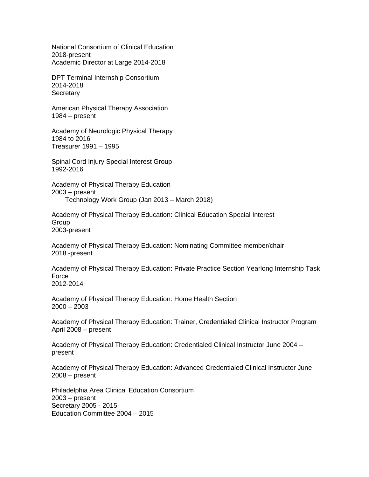National Consortium of Clinical Education 2018-present Academic Director at Large 2014-2018

DPT Terminal Internship Consortium 2014-2018 **Secretary** 

American Physical Therapy Association 1984 – present

Academy of Neurologic Physical Therapy 1984 to 2016 Treasurer 1991 – 1995

Spinal Cord Injury Special Interest Group 1992-2016

Academy of Physical Therapy Education 2003 – present Technology Work Group (Jan 2013 – March 2018)

Academy of Physical Therapy Education: Clinical Education Special Interest Group 2003-present

Academy of Physical Therapy Education: Nominating Committee member/chair 2018 -present

Academy of Physical Therapy Education: Private Practice Section Yearlong Internship Task Force 2012-2014

Academy of Physical Therapy Education: Home Health Section 2000 – 2003

Academy of Physical Therapy Education: Trainer, Credentialed Clinical Instructor Program April 2008 – present

Academy of Physical Therapy Education: Credentialed Clinical Instructor June 2004 – present

Academy of Physical Therapy Education: Advanced Credentialed Clinical Instructor June 2008 – present

Philadelphia Area Clinical Education Consortium 2003 – present Secretary 2005 - 2015 Education Committee 2004 – 2015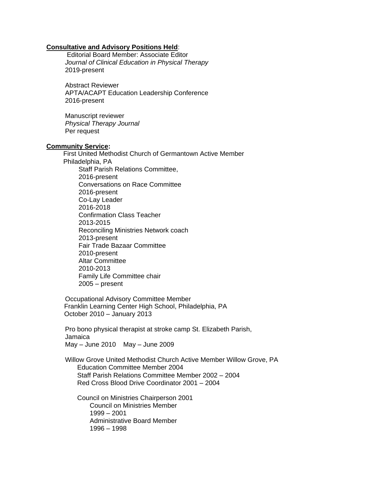### **Consultative and Advisory Positions Held**:

Editorial Board Member: Associate Editor *Journal of Clinical Education in Physical Therapy* 2019-present

Abstract Reviewer APTA/ACAPT Education Leadership Conference 2016-present

Manuscript reviewer *Physical Therapy Journal*  Per request

### **Community Service:**

 First United Methodist Church of Germantown Active Member Philadelphia, PA Staff Parish Relations Committee, 2016-present Conversations on Race Committee 2016-present Co-Lay Leader 2016-2018 Confirmation Class Teacher 2013-2015 Reconciling Ministries Network coach 2013-present Fair Trade Bazaar Committee 2010-present Altar Committee 2010-2013 Family Life Committee chair 2005 – present

Occupational Advisory Committee Member Franklin Learning Center High School, Philadelphia, PA October 2010 – January 2013

Pro bono physical therapist at stroke camp St. Elizabeth Parish, Jamaica May – June 2010 May – June 2009

Willow Grove United Methodist Church Active Member Willow Grove, PA Education Committee Member 2004 Staff Parish Relations Committee Member 2002 – 2004 Red Cross Blood Drive Coordinator 2001 – 2004

 Council on Ministries Chairperson 2001 Council on Ministries Member 1999 – 2001 Administrative Board Member 1996 – 1998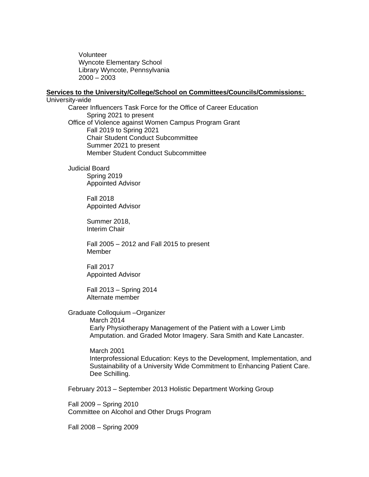Volunteer Wyncote Elementary School Library Wyncote, Pennsylvania 2000 – 2003

#### **Services to the University/College/School on Committees/Councils/Commissions:**

University-wide Career Influencers Task Force for the Office of Career Education Spring 2021 to present Office of Violence against Women Campus Program Grant Fall 2019 to Spring 2021 Chair Student Conduct Subcommittee Summer 2021 to present Member Student Conduct Subcommittee

> Judicial Board Spring 2019 Appointed Advisor

> > Fall 2018 Appointed Advisor

Summer 2018, Interim Chair

Fall 2005 – 2012 and Fall 2015 to present Member

Fall 2017 Appointed Advisor

Fall 2013 – Spring 2014 Alternate member

Graduate Colloquium –Organizer

March 2014 Early Physiotherapy Management of the Patient with a Lower Limb Amputation. and Graded Motor Imagery. Sara Smith and Kate Lancaster.

March 2001 Interprofessional Education: Keys to the Development, Implementation, and Sustainability of a University Wide Commitment to Enhancing Patient Care. Dee Schilling.

February 2013 – September 2013 Holistic Department Working Group

Fall 2009 – Spring 2010 Committee on Alcohol and Other Drugs Program

Fall 2008 – Spring 2009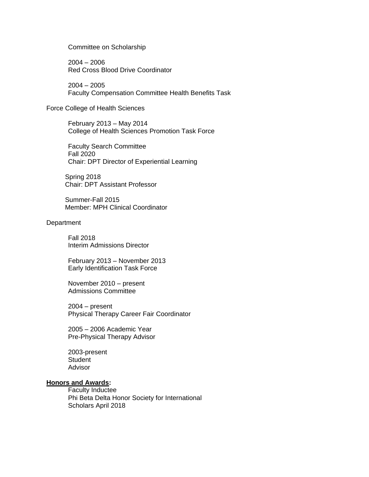Committee on Scholarship

2004 – 2006 Red Cross Blood Drive Coordinator

2004 – 2005 Faculty Compensation Committee Health Benefits Task

#### Force College of Health Sciences

February 2013 – May 2014 College of Health Sciences Promotion Task Force

Faculty Search Committee Fall 2020 Chair: DPT Director of Experiential Learning

Spring 2018 Chair: DPT Assistant Professor

Summer-Fall 2015 Member: MPH Clinical Coordinator

#### **Department**

Fall 2018 Interim Admissions Director

February 2013 – November 2013 Early Identification Task Force

November 2010 – present Admissions Committee

2004 – present Physical Therapy Career Fair Coordinator

2005 – 2006 Academic Year Pre-Physical Therapy Advisor

2003-present **Student** Advisor

# **Honors and Awards:**

Faculty Inductee Phi Beta Delta Honor Society for International Scholars April 2018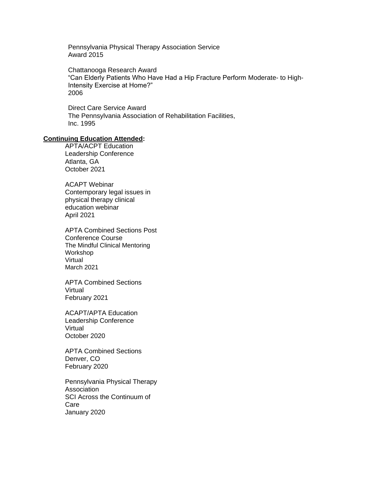Pennsylvania Physical Therapy Association Service Award 2015

Chattanooga Research Award "Can Elderly Patients Who Have Had a Hip Fracture Perform Moderate- to High-Intensity Exercise at Home?" 2006

Direct Care Service Award The Pennsylvania Association of Rehabilitation Facilities, Inc. 1995

#### **Continuing Education Attended:**

APTA/ACPT Education Leadership Conference Atlanta, GA October 2021

ACAPT Webinar Contemporary legal issues in physical therapy clinical education webinar April 2021

APTA Combined Sections Post Conference Course The Mindful Clinical Mentoring Workshop Virtual March 2021

APTA Combined Sections Virtual February 2021

ACAPT/APTA Education Leadership Conference Virtual October 2020

APTA Combined Sections Denver, CO February 2020

Pennsylvania Physical Therapy Association SCI Across the Continuum of Care January 2020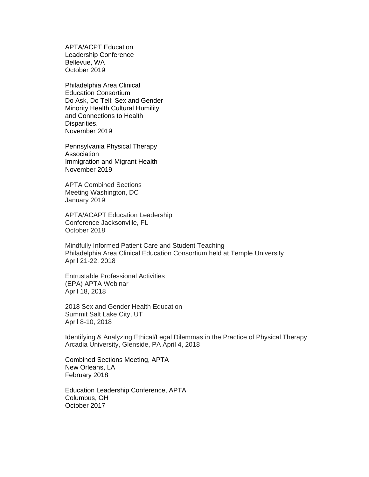APTA/ACPT Education Leadership Conference Bellevue, WA October 2019

Philadelphia Area Clinical Education Consortium Do Ask, Do Tell: Sex and Gender Minority Health Cultural Humility and Connections to Health Disparities. November 2019

Pennsylvania Physical Therapy **Association** Immigration and Migrant Health November 2019

APTA Combined Sections Meeting Washington, DC January 2019

APTA/ACAPT Education Leadership Conference Jacksonville, FL October 2018

Mindfully Informed Patient Care and Student Teaching Philadelphia Area Clinical Education Consortium held at Temple University April 21-22, 2018

Entrustable Professional Activities (EPA) APTA Webinar April 18, 2018

2018 Sex and Gender Health Education Summit Salt Lake City, UT April 8-10, 2018

Identifying & Analyzing Ethical/Legal Dilemmas in the Practice of Physical Therapy Arcadia University, Glenside, PA April 4, 2018

Combined Sections Meeting, APTA New Orleans, LA February 2018

Education Leadership Conference, APTA Columbus, OH October 2017